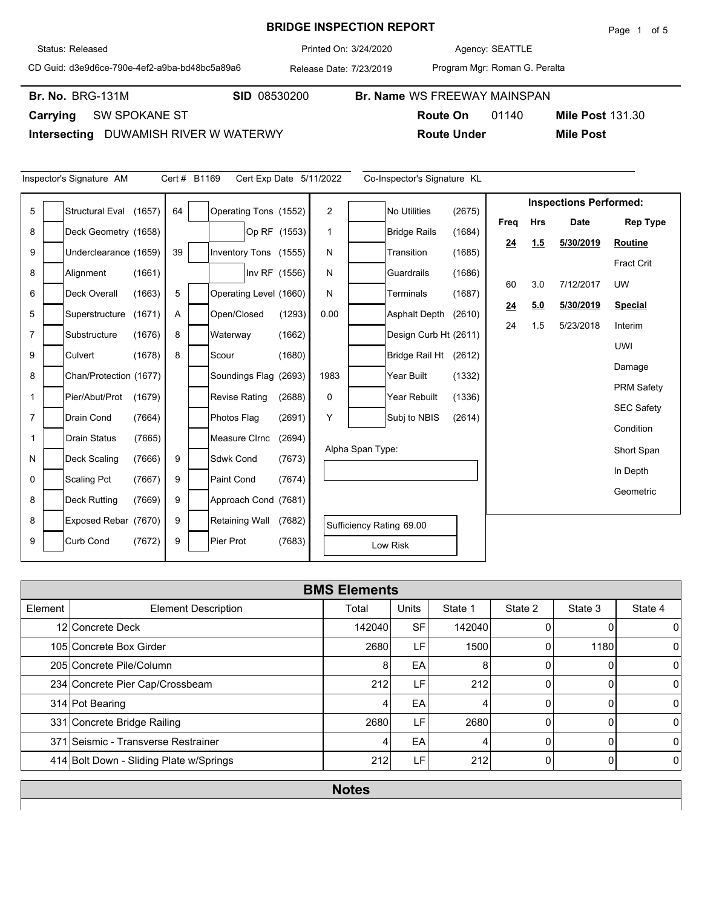## **BRIDGE INSPECTION REPORT**

Agency: 3/24/2020 SEATTLE

CD Guid: d3e9d6ce-790e-4ef2-a9ba-bd48bc5a89a6

Release Date: 7/23/2019 Printed On:

**Br. No. SID** 08530200 **Br. Name** WS FREEWAY MAINSPAN

Program Mgr: Roman G. Peralta

Br. No. BRG-131M

**Carrying** SW SPOKANE ST

Inspector's Signature AM Cert # B1169

**Intersecting** DUWAMISH RIVER W WATERWY

|                         | <b>Route On</b>             | <b>Mile Post 131.30</b><br>01140 |
|-------------------------|-----------------------------|----------------------------------|
| 'ATERWY                 | <b>Route Under</b>          | <b>Mile Post</b>                 |
|                         |                             |                                  |
| Cert Exp Date 5/11/2022 | Co-Inspector's Signature KL |                                  |
| $time \pi$<br>$\sim$    | 1007E                       | <b>Inspections Performed:</b>    |

| 5              | <b>Structural Eval</b> | (1657) | 64 | Operating Tons (1552)  |               | 2    |                  | No Utilities             | (2675) |      |            |             |                   |
|----------------|------------------------|--------|----|------------------------|---------------|------|------------------|--------------------------|--------|------|------------|-------------|-------------------|
| 8              | Deck Geometry (1658)   |        |    |                        | Op RF (1553)  |      |                  | <b>Bridge Rails</b>      | (1684) | Freq | <b>Hrs</b> | <b>Date</b> | <b>Rep Type</b>   |
| 9              | Underclearance (1659)  |        | 39 | Inventory Tons (1555)  |               | N    |                  | Transition               | (1685) | 24   | 1.5        | 5/30/2019   | Routine           |
|                |                        |        |    |                        |               |      |                  |                          |        |      |            |             | Fract Crit        |
| 8              | Alignment              | (1661) |    |                        | Inv RF (1556) | N    |                  | Guardrails               | (1686) | 60   | 3.0        | 7/12/2017   | UW                |
| 6              | <b>Deck Overall</b>    | (1663) | 5  | Operating Level (1660) |               | N    |                  | Terminals                | (1687) |      | 5.0        | 5/30/2019   |                   |
| 5              | Superstructure         | (1671) | Α  | Open/Closed            | (1293)        | 0.00 |                  | <b>Asphalt Depth</b>     | (2610) | 24   |            |             | <b>Special</b>    |
| $\overline{7}$ | Substructure           | (1676) | 8  | Waterway               | (1662)        |      |                  | Design Curb Ht (2611)    |        | 24   | 1.5        | 5/23/2018   | Interim           |
| 9              | Culvert                | (1678) | 8  | Scour                  | (1680)        |      |                  | Bridge Rail Ht           | (2612) |      |            |             | <b>UWI</b>        |
|                |                        |        |    |                        |               |      |                  |                          |        |      |            |             | Damage            |
| 8              | Chan/Protection (1677) |        |    | Soundings Flag (2693)  |               | 1983 |                  | Year Built               | (1332) |      |            |             | <b>PRM Safety</b> |
| 1              | Pier/Abut/Prot         | (1679) |    | <b>Revise Rating</b>   | (2688)        | 0    |                  | Year Rebuilt             | (1336) |      |            |             | <b>SEC Safety</b> |
| $\overline{7}$ | Drain Cond             | (7664) |    | Photos Flag            | (2691)        | Y    |                  | Subj to NBIS             | (2614) |      |            |             |                   |
| 1              | <b>Drain Status</b>    | (7665) |    | <b>Measure Cirnc</b>   | (2694)        |      |                  |                          |        |      |            |             | Condition         |
| N              | Deck Scaling           | (7666) | 9  | <b>Sdwk Cond</b>       | (7673)        |      | Alpha Span Type: |                          |        |      |            |             | Short Span        |
| 0              | Scaling Pct            |        | 9  | <b>Paint Cond</b>      |               |      |                  |                          |        |      |            |             | In Depth          |
|                |                        | (7667) |    |                        | (7674)        |      |                  |                          |        |      |            |             | Geometric         |
| 8              | <b>Deck Rutting</b>    | (7669) | 9  | Approach Cond (7681)   |               |      |                  |                          |        |      |            |             |                   |
| 8              | Exposed Rebar (7670)   |        | 9  | <b>Retaining Wall</b>  | (7682)        |      |                  | Sufficiency Rating 69.00 |        |      |            |             |                   |
| 9              | <b>Curb Cond</b>       | (7672) | 9  | Pier Prot              | (7683)        |      |                  | Low Risk                 |        |      |            |             |                   |
|                |                        |        |    |                        |               |      |                  |                          |        |      |            |             |                   |

|         | <b>BMS Elements</b>                     |        |              |         |         |          |                |  |  |  |  |  |
|---------|-----------------------------------------|--------|--------------|---------|---------|----------|----------------|--|--|--|--|--|
| Element | <b>Element Description</b>              | Total  | <b>Units</b> | State 1 | State 2 | State 3  | State 4        |  |  |  |  |  |
|         | 12 Concrete Deck                        | 142040 | <b>SF</b>    | 142040  |         |          | $\overline{0}$ |  |  |  |  |  |
|         | 105 Concrete Box Girder                 | 2680   | LF           | 1500    |         | 1180     | $\Omega$       |  |  |  |  |  |
|         | 205 Concrete Pile/Column                | 8      | EA           | 8       |         | 0        | $\Omega$       |  |  |  |  |  |
|         | 234 Concrete Pier Cap/Crossbeam         | 212    | LF           | 212     |         |          | $\Omega$       |  |  |  |  |  |
|         | 314 Pot Bearing                         | 4      | EA           | 4       |         |          | $\Omega$       |  |  |  |  |  |
|         | 331 Concrete Bridge Railing             | 2680   | LF           | 2680    | O       | $\Omega$ | $\Omega$       |  |  |  |  |  |
|         | 371 Seismic - Transverse Restrainer     | 4      | EA           | 4       |         |          | $\Omega$       |  |  |  |  |  |
|         | 414 Bolt Down - Sliding Plate w/Springs | 212    | LF           | 212     | O       |          | $\Omega$       |  |  |  |  |  |
|         |                                         |        |              |         |         |          |                |  |  |  |  |  |

**Notes**

Status: Released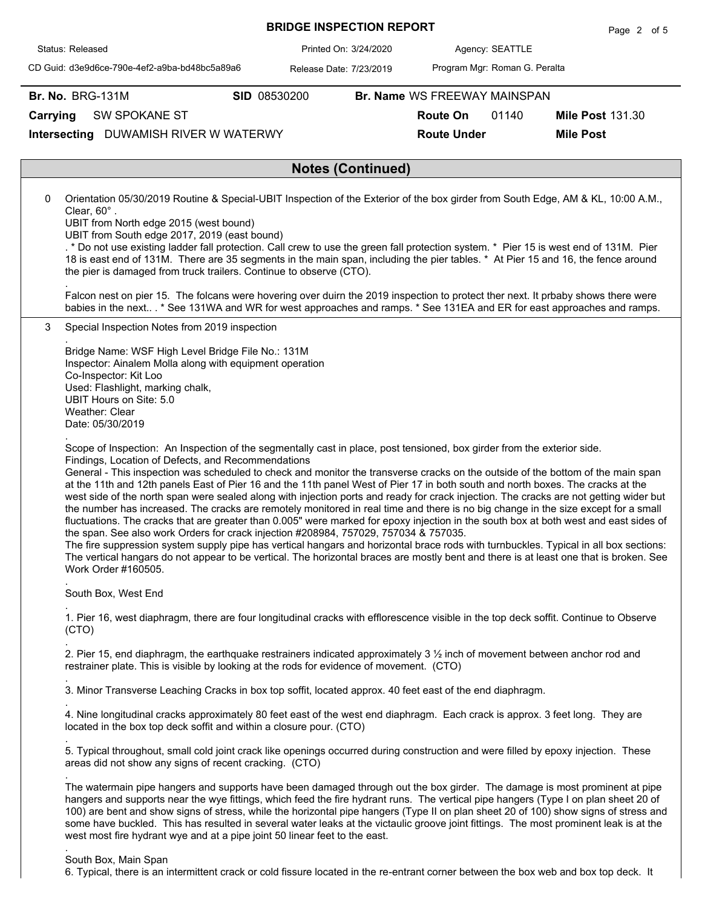|          |                         |                                                                                                                                                                                                                                                                                                                                                                                                                             |              | <b>BRIDGE INSPECTION REPORT</b> |                          |                              |                               | Page 2 of 5                                                                                                                                                                                                                                                                                                                                                                                                                                                                                                                                                                                                                                                                                              |
|----------|-------------------------|-----------------------------------------------------------------------------------------------------------------------------------------------------------------------------------------------------------------------------------------------------------------------------------------------------------------------------------------------------------------------------------------------------------------------------|--------------|---------------------------------|--------------------------|------------------------------|-------------------------------|----------------------------------------------------------------------------------------------------------------------------------------------------------------------------------------------------------------------------------------------------------------------------------------------------------------------------------------------------------------------------------------------------------------------------------------------------------------------------------------------------------------------------------------------------------------------------------------------------------------------------------------------------------------------------------------------------------|
|          | Status: Released        |                                                                                                                                                                                                                                                                                                                                                                                                                             |              | Printed On: 3/24/2020           |                          |                              | Agency: SEATTLE               |                                                                                                                                                                                                                                                                                                                                                                                                                                                                                                                                                                                                                                                                                                          |
|          |                         | CD Guid: d3e9d6ce-790e-4ef2-a9ba-bd48bc5a89a6                                                                                                                                                                                                                                                                                                                                                                               |              | Release Date: 7/23/2019         |                          |                              | Program Mgr: Roman G. Peralta |                                                                                                                                                                                                                                                                                                                                                                                                                                                                                                                                                                                                                                                                                                          |
|          | <b>Br. No. BRG-131M</b> |                                                                                                                                                                                                                                                                                                                                                                                                                             | SID 08530200 |                                 |                          | Br. Name WS FREEWAY MAINSPAN |                               |                                                                                                                                                                                                                                                                                                                                                                                                                                                                                                                                                                                                                                                                                                          |
| Carrying |                         | <b>SW SPOKANE ST</b>                                                                                                                                                                                                                                                                                                                                                                                                        |              |                                 |                          | <b>Route On</b>              | 01140                         | <b>Mile Post 131.30</b>                                                                                                                                                                                                                                                                                                                                                                                                                                                                                                                                                                                                                                                                                  |
|          |                         | Intersecting DUWAMISH RIVER W WATERWY                                                                                                                                                                                                                                                                                                                                                                                       |              |                                 |                          | <b>Route Under</b>           |                               | <b>Mile Post</b>                                                                                                                                                                                                                                                                                                                                                                                                                                                                                                                                                                                                                                                                                         |
|          |                         |                                                                                                                                                                                                                                                                                                                                                                                                                             |              |                                 |                          |                              |                               |                                                                                                                                                                                                                                                                                                                                                                                                                                                                                                                                                                                                                                                                                                          |
|          |                         |                                                                                                                                                                                                                                                                                                                                                                                                                             |              |                                 | <b>Notes (Continued)</b> |                              |                               |                                                                                                                                                                                                                                                                                                                                                                                                                                                                                                                                                                                                                                                                                                          |
| 0        | Clear, 60°.             | UBIT from North edge 2015 (west bound)<br>UBIT from South edge 2017, 2019 (east bound)<br>the pier is damaged from truck trailers. Continue to observe (CTO).                                                                                                                                                                                                                                                               |              |                                 |                          |                              |                               | Orientation 05/30/2019 Routine & Special-UBIT Inspection of the Exterior of the box girder from South Edge, AM & KL, 10:00 A.M.,<br>. * Do not use existing ladder fall protection. Call crew to use the green fall protection system. * Pier 15 is west end of 131M. Pier<br>18 is east end of 131M. There are 35 segments in the main span, including the pier tables. * At Pier 15 and 16, the fence around<br>Falcon nest on pier 15. The folcans were hovering over duirn the 2019 inspection to protect ther next. It prbaby shows there were<br>babies in the next * See 131WA and WR for west approaches and ramps. * See 131EA and ER for east approaches and ramps.                            |
| 3        |                         | Special Inspection Notes from 2019 inspection                                                                                                                                                                                                                                                                                                                                                                               |              |                                 |                          |                              |                               |                                                                                                                                                                                                                                                                                                                                                                                                                                                                                                                                                                                                                                                                                                          |
|          |                         | Bridge Name: WSF High Level Bridge File No.: 131M<br>Inspector: Ainalem Molla along with equipment operation<br>Co-Inspector: Kit Loo<br>Used: Flashlight, marking chalk,<br>UBIT Hours on Site: 5.0<br>Weather: Clear<br>Date: 05/30/2019<br>Scope of Inspection: An Inspection of the segmentally cast in place, post tensioned, box girder from the exterior side.<br>Findings, Location of Defects, and Recommendations |              |                                 |                          |                              |                               | General - This inspection was scheduled to check and monitor the transverse cracks on the outside of the bottom of the main span                                                                                                                                                                                                                                                                                                                                                                                                                                                                                                                                                                         |
|          |                         | at the 11th and 12th panels East of Pier 16 and the 11th panel West of Pier 17 in both south and north boxes. The cracks at the<br>the span. See also work Orders for crack injection #208984, 757029, 757034 & 757035.<br>Work Order #160505.                                                                                                                                                                              |              |                                 |                          |                              |                               | west side of the north span were sealed along with injection ports and ready for crack injection. The cracks are not getting wider but<br>the number has increased. The cracks are remotely monitored in real time and there is no big change in the size except for a small<br>fluctuations. The cracks that are greater than 0.005" were marked for epoxy injection in the south box at both west and east sides of<br>The fire suppression system supply pipe has vertical hangars and horizontal brace rods with turnbuckles. Typical in all box sections:<br>The vertical hangars do not appear to be vertical. The horizontal braces are mostly bent and there is at least one that is broken. See |
|          |                         | South Box, West End                                                                                                                                                                                                                                                                                                                                                                                                         |              |                                 |                          |                              |                               |                                                                                                                                                                                                                                                                                                                                                                                                                                                                                                                                                                                                                                                                                                          |
|          | (CTO)                   |                                                                                                                                                                                                                                                                                                                                                                                                                             |              |                                 |                          |                              |                               | 1. Pier 16, west diaphragm, there are four longitudinal cracks with efflorescence visible in the top deck soffit. Continue to Observe                                                                                                                                                                                                                                                                                                                                                                                                                                                                                                                                                                    |
|          |                         | 2. Pier 15, end diaphragm, the earthquake restrainers indicated approximately 3 1/2 inch of movement between anchor rod and<br>restrainer plate. This is visible by looking at the rods for evidence of movement. (CTO)                                                                                                                                                                                                     |              |                                 |                          |                              |                               |                                                                                                                                                                                                                                                                                                                                                                                                                                                                                                                                                                                                                                                                                                          |
|          |                         | 3. Minor Transverse Leaching Cracks in box top soffit, located approx. 40 feet east of the end diaphragm.                                                                                                                                                                                                                                                                                                                   |              |                                 |                          |                              |                               |                                                                                                                                                                                                                                                                                                                                                                                                                                                                                                                                                                                                                                                                                                          |
|          |                         | 4. Nine longitudinal cracks approximately 80 feet east of the west end diaphragm. Each crack is approx. 3 feet long. They are<br>located in the box top deck soffit and within a closure pour. (CTO)                                                                                                                                                                                                                        |              |                                 |                          |                              |                               |                                                                                                                                                                                                                                                                                                                                                                                                                                                                                                                                                                                                                                                                                                          |
|          |                         | areas did not show any signs of recent cracking. (CTO)                                                                                                                                                                                                                                                                                                                                                                      |              |                                 |                          |                              |                               | 5. Typical throughout, small cold joint crack like openings occurred during construction and were filled by epoxy injection. These                                                                                                                                                                                                                                                                                                                                                                                                                                                                                                                                                                       |
|          |                         | west most fire hydrant wye and at a pipe joint 50 linear feet to the east.                                                                                                                                                                                                                                                                                                                                                  |              |                                 |                          |                              |                               | The watermain pipe hangers and supports have been damaged through out the box girder. The damage is most prominent at pipe<br>hangers and supports near the wye fittings, which feed the fire hydrant runs. The vertical pipe hangers (Type I on plan sheet 20 of<br>100) are bent and show signs of stress, while the horizontal pipe hangers (Type II on plan sheet 20 of 100) show signs of stress and<br>some have buckled. This has resulted in several water leaks at the victaulic groove joint fittings. The most prominent leak is at the                                                                                                                                                       |

**BRIDGE INSPECTION REPORT**

## South Box, Main Span

6. Typical, there is an intermittent crack or cold fissure located in the re-entrant corner between the box web and box top deck. It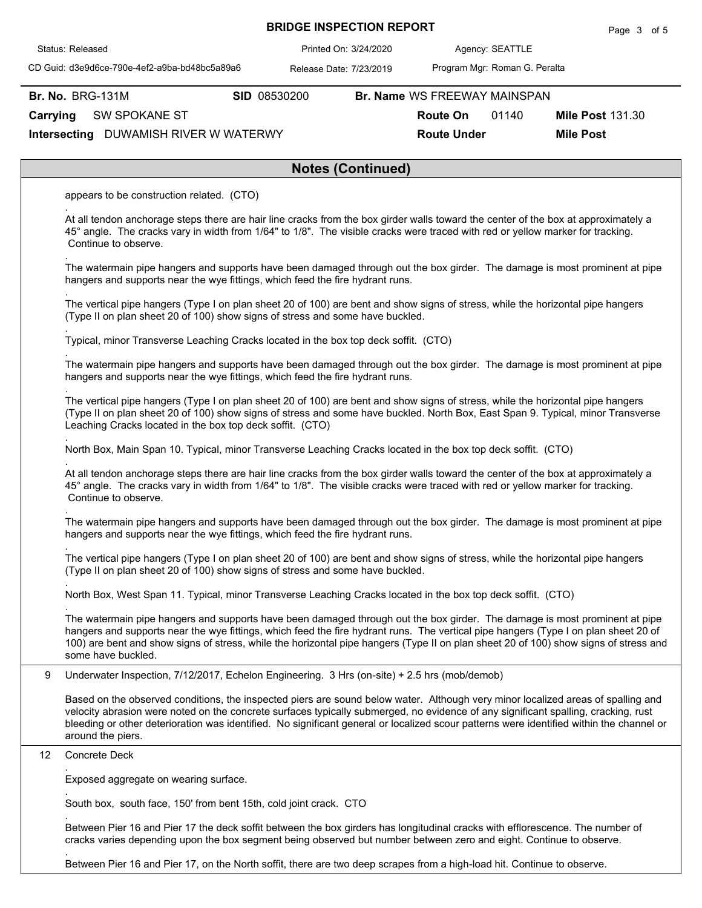| Status: Released                                                                                                                                                                                                                                                                                                                                                                                                                        | Printed On: 3/24/2020    |                              | Agency: SEATTLE               |                         |
|-----------------------------------------------------------------------------------------------------------------------------------------------------------------------------------------------------------------------------------------------------------------------------------------------------------------------------------------------------------------------------------------------------------------------------------------|--------------------------|------------------------------|-------------------------------|-------------------------|
| CD Guid: d3e9d6ce-790e-4ef2-a9ba-bd48bc5a89a6                                                                                                                                                                                                                                                                                                                                                                                           | Release Date: 7/23/2019  |                              | Program Mgr: Roman G. Peralta |                         |
| <b>Br. No. BRG-131M</b>                                                                                                                                                                                                                                                                                                                                                                                                                 | SID 08530200             | Br. Name WS FREEWAY MAINSPAN |                               |                         |
| Carrying<br><b>SW SPOKANE ST</b>                                                                                                                                                                                                                                                                                                                                                                                                        |                          | <b>Route On</b>              | 01140                         | <b>Mile Post 131.30</b> |
| Intersecting DUWAMISH RIVER W WATERWY                                                                                                                                                                                                                                                                                                                                                                                                   |                          | <b>Route Under</b>           |                               | <b>Mile Post</b>        |
|                                                                                                                                                                                                                                                                                                                                                                                                                                         | <b>Notes (Continued)</b> |                              |                               |                         |
| appears to be construction related. (CTO)                                                                                                                                                                                                                                                                                                                                                                                               |                          |                              |                               |                         |
| At all tendon anchorage steps there are hair line cracks from the box girder walls toward the center of the box at approximately a<br>45° angle. The cracks vary in width from 1/64" to 1/8". The visible cracks were traced with red or yellow marker for tracking.<br>Continue to observe.                                                                                                                                            |                          |                              |                               |                         |
| The watermain pipe hangers and supports have been damaged through out the box girder. The damage is most prominent at pipe<br>hangers and supports near the wye fittings, which feed the fire hydrant runs.                                                                                                                                                                                                                             |                          |                              |                               |                         |
| The vertical pipe hangers (Type I on plan sheet 20 of 100) are bent and show signs of stress, while the horizontal pipe hangers<br>(Type II on plan sheet 20 of 100) show signs of stress and some have buckled.                                                                                                                                                                                                                        |                          |                              |                               |                         |
| Typical, minor Transverse Leaching Cracks located in the box top deck soffit. (CTO)                                                                                                                                                                                                                                                                                                                                                     |                          |                              |                               |                         |
| The watermain pipe hangers and supports have been damaged through out the box girder. The damage is most prominent at pipe<br>hangers and supports near the wye fittings, which feed the fire hydrant runs.                                                                                                                                                                                                                             |                          |                              |                               |                         |
| The vertical pipe hangers (Type I on plan sheet 20 of 100) are bent and show signs of stress, while the horizontal pipe hangers<br>(Type II on plan sheet 20 of 100) show signs of stress and some have buckled. North Box, East Span 9. Typical, minor Transverse<br>Leaching Cracks located in the box top deck soffit. (CTO)                                                                                                         |                          |                              |                               |                         |
| North Box, Main Span 10. Typical, minor Transverse Leaching Cracks located in the box top deck soffit. (CTO)                                                                                                                                                                                                                                                                                                                            |                          |                              |                               |                         |
| At all tendon anchorage steps there are hair line cracks from the box girder walls toward the center of the box at approximately a<br>45° angle. The cracks vary in width from 1/64" to 1/8". The visible cracks were traced with red or yellow marker for tracking.<br>Continue to observe.                                                                                                                                            |                          |                              |                               |                         |
| The watermain pipe hangers and supports have been damaged through out the box girder. The damage is most prominent at pipe<br>hangers and supports near the wye fittings, which feed the fire hydrant runs.                                                                                                                                                                                                                             |                          |                              |                               |                         |
| The vertical pipe hangers (Type I on plan sheet 20 of 100) are bent and show signs of stress, while the horizontal pipe hangers<br>(Type II on plan sheet 20 of 100) show signs of stress and some have buckled.                                                                                                                                                                                                                        |                          |                              |                               |                         |
| North Box, West Span 11. Typical, minor Transverse Leaching Cracks located in the box top deck soffit. (CTO)                                                                                                                                                                                                                                                                                                                            |                          |                              |                               |                         |
| The watermain pipe hangers and supports have been damaged through out the box girder. The damage is most prominent at pipe<br>hangers and supports near the wye fittings, which feed the fire hydrant runs. The vertical pipe hangers (Type I on plan sheet 20 of<br>100) are bent and show signs of stress, while the horizontal pipe hangers (Type II on plan sheet 20 of 100) show signs of stress and<br>some have buckled.         |                          |                              |                               |                         |
| 9<br>Underwater Inspection, 7/12/2017, Echelon Engineering. 3 Hrs (on-site) + 2.5 hrs (mob/demob)                                                                                                                                                                                                                                                                                                                                       |                          |                              |                               |                         |
| Based on the observed conditions, the inspected piers are sound below water. Although very minor localized areas of spalling and<br>velocity abrasion were noted on the concrete surfaces typically submerged, no evidence of any significant spalling, cracking, rust<br>bleeding or other deterioration was identified. No significant general or localized scour patterns were identified within the channel or<br>around the piers. |                          |                              |                               |                         |
| Concrete Deck<br>12                                                                                                                                                                                                                                                                                                                                                                                                                     |                          |                              |                               |                         |
| Exposed aggregate on wearing surface.                                                                                                                                                                                                                                                                                                                                                                                                   |                          |                              |                               |                         |
| South box, south face, 150' from bent 15th, cold joint crack. CTO                                                                                                                                                                                                                                                                                                                                                                       |                          |                              |                               |                         |
| Between Pier 16 and Pier 17 the deck soffit between the box girders has longitudinal cracks with efflorescence. The number of<br>cracks varies depending upon the box segment being observed but number between zero and eight. Continue to observe.                                                                                                                                                                                    |                          |                              |                               |                         |

**BRIDGE INSPECTION REPORT**

Page 3 of 5

Between Pier 16 and Pier 17, on the North soffit, there are two deep scrapes from a high-load hit. Continue to observe.

.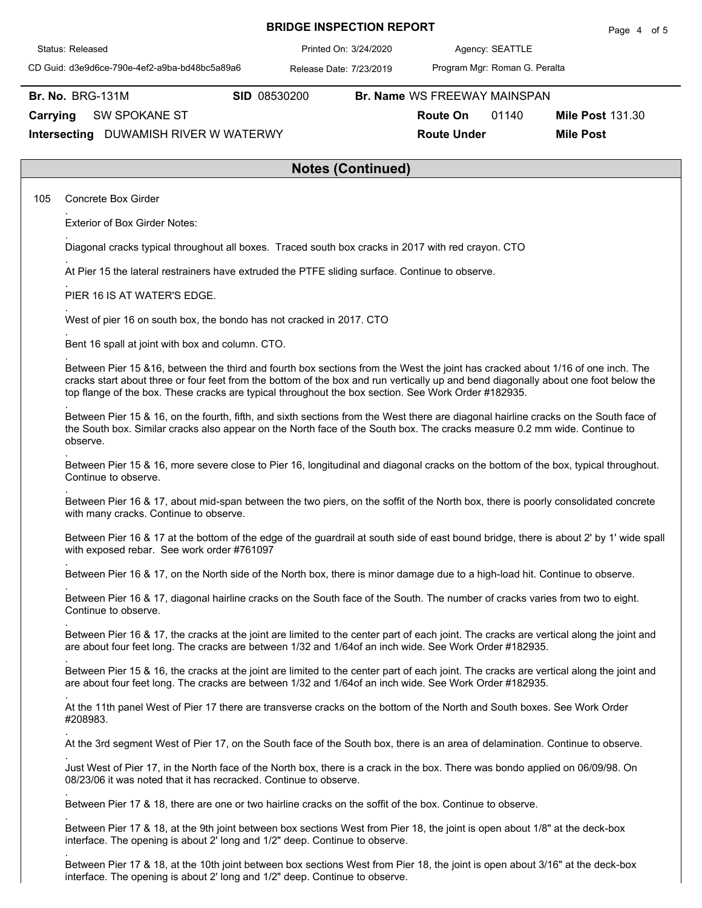|                                                                                                                                                                                                                                                                                                                                                                              |              | <b>BRIDGE INSPECTION REPORT</b> |                               | Page 4 of 5             |
|------------------------------------------------------------------------------------------------------------------------------------------------------------------------------------------------------------------------------------------------------------------------------------------------------------------------------------------------------------------------------|--------------|---------------------------------|-------------------------------|-------------------------|
| Status: Released                                                                                                                                                                                                                                                                                                                                                             |              | Printed On: 3/24/2020           | Agency: SEATTLE               |                         |
| CD Guid: d3e9d6ce-790e-4ef2-a9ba-bd48bc5a89a6                                                                                                                                                                                                                                                                                                                                |              | Release Date: 7/23/2019         | Program Mgr: Roman G. Peralta |                         |
| <b>Br. No. BRG-131M</b>                                                                                                                                                                                                                                                                                                                                                      | SID 08530200 |                                 | Br. Name WS FREEWAY MAINSPAN  |                         |
| Carrying<br>SW SPOKANE ST                                                                                                                                                                                                                                                                                                                                                    |              |                                 | 01140<br><b>Route On</b>      | <b>Mile Post 131.30</b> |
| Intersecting DUWAMISH RIVER W WATERWY                                                                                                                                                                                                                                                                                                                                        |              |                                 | <b>Route Under</b>            | <b>Mile Post</b>        |
|                                                                                                                                                                                                                                                                                                                                                                              |              | <b>Notes (Continued)</b>        |                               |                         |
| 105<br>Concrete Box Girder                                                                                                                                                                                                                                                                                                                                                   |              |                                 |                               |                         |
| <b>Exterior of Box Girder Notes:</b>                                                                                                                                                                                                                                                                                                                                         |              |                                 |                               |                         |
| Diagonal cracks typical throughout all boxes. Traced south box cracks in 2017 with red crayon. CTO                                                                                                                                                                                                                                                                           |              |                                 |                               |                         |
| At Pier 15 the lateral restrainers have extruded the PTFE sliding surface. Continue to observe.                                                                                                                                                                                                                                                                              |              |                                 |                               |                         |
| PIER 16 IS AT WATER'S EDGE.                                                                                                                                                                                                                                                                                                                                                  |              |                                 |                               |                         |
| West of pier 16 on south box, the bondo has not cracked in 2017. CTO                                                                                                                                                                                                                                                                                                         |              |                                 |                               |                         |
| Bent 16 spall at joint with box and column. CTO.                                                                                                                                                                                                                                                                                                                             |              |                                 |                               |                         |
| Between Pier 15 &16, between the third and fourth box sections from the West the joint has cracked about 1/16 of one inch. The<br>cracks start about three or four feet from the bottom of the box and run vertically up and bend diagonally about one foot below the<br>top flange of the box. These cracks are typical throughout the box section. See Work Order #182935. |              |                                 |                               |                         |
| Between Pier 15 & 16, on the fourth, fifth, and sixth sections from the West there are diagonal hairline cracks on the South face of<br>the South box. Similar cracks also appear on the North face of the South box. The cracks measure 0.2 mm wide. Continue to<br>observe.                                                                                                |              |                                 |                               |                         |
| Between Pier 15 & 16, more severe close to Pier 16, longitudinal and diagonal cracks on the bottom of the box, typical throughout.<br>Continue to observe.                                                                                                                                                                                                                   |              |                                 |                               |                         |
| Between Pier 16 & 17, about mid-span between the two piers, on the soffit of the North box, there is poorly consolidated concrete<br>with many cracks. Continue to observe.                                                                                                                                                                                                  |              |                                 |                               |                         |
| Between Pier 16 & 17 at the bottom of the edge of the guardrail at south side of east bound bridge, there is about 2' by 1' wide spall<br>with exposed rebar. See work order #761097                                                                                                                                                                                         |              |                                 |                               |                         |
| Between Pier 16 & 17, on the North side of the North box, there is minor damage due to a high-load hit. Continue to observe.                                                                                                                                                                                                                                                 |              |                                 |                               |                         |
| Between Pier 16 & 17, diagonal hairline cracks on the South face of the South. The number of cracks varies from two to eight.<br>Continue to observe.                                                                                                                                                                                                                        |              |                                 |                               |                         |
| Between Pier 16 & 17, the cracks at the joint are limited to the center part of each joint. The cracks are vertical along the joint and<br>are about four feet long. The cracks are between 1/32 and 1/64of an inch wide. See Work Order #182935.                                                                                                                            |              |                                 |                               |                         |
| Between Pier 15 & 16, the cracks at the joint are limited to the center part of each joint. The cracks are vertical along the joint and<br>are about four feet long. The cracks are between 1/32 and 1/64of an inch wide. See Work Order #182935.                                                                                                                            |              |                                 |                               |                         |
| At the 11th panel West of Pier 17 there are transverse cracks on the bottom of the North and South boxes. See Work Order<br>#208983.                                                                                                                                                                                                                                         |              |                                 |                               |                         |
| At the 3rd segment West of Pier 17, on the South face of the South box, there is an area of delamination. Continue to observe.                                                                                                                                                                                                                                               |              |                                 |                               |                         |
| Just West of Pier 17, in the North face of the North box, there is a crack in the box. There was bondo applied on 06/09/98. On<br>08/23/06 it was noted that it has recracked. Continue to observe.                                                                                                                                                                          |              |                                 |                               |                         |
| Between Pier 17 & 18, there are one or two hairline cracks on the soffit of the box. Continue to observe.                                                                                                                                                                                                                                                                    |              |                                 |                               |                         |
| Between Pier 17 & 18, at the 9th joint between box sections West from Pier 18, the joint is open about 1/8" at the deck-box<br>interface. The opening is about 2' long and 1/2" deep. Continue to observe.                                                                                                                                                                   |              |                                 |                               |                         |

Between Pier 17 & 18, at the 10th joint between box sections West from Pier 18, the joint is open about 3/16" at the deck-box interface. The opening is about 2' long and 1/2" deep. Continue to observe.

.